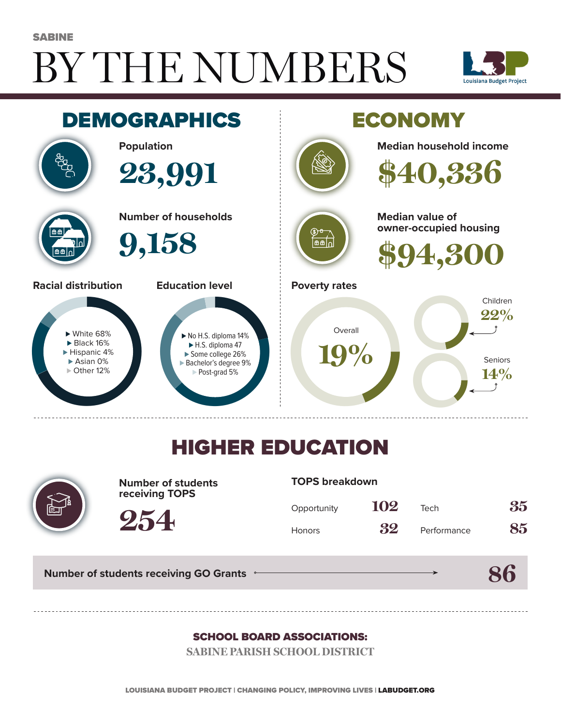# BY THE NUMBERS **SABINE**





## HIGHER EDUCATION



**Number of students receiving TOPS**

#### **TOPS breakdown**

| Opportunity   | 102 | Tech        | 35 |
|---------------|-----|-------------|----|
| <b>Honors</b> | 32  | Performance | 85 |

**Number of students receiving GO Grants**

**254**

### **86**

### SCHOOL BOARD ASSOCIATIONS:

**SABINE PARISH SCHOOL DISTRICT**